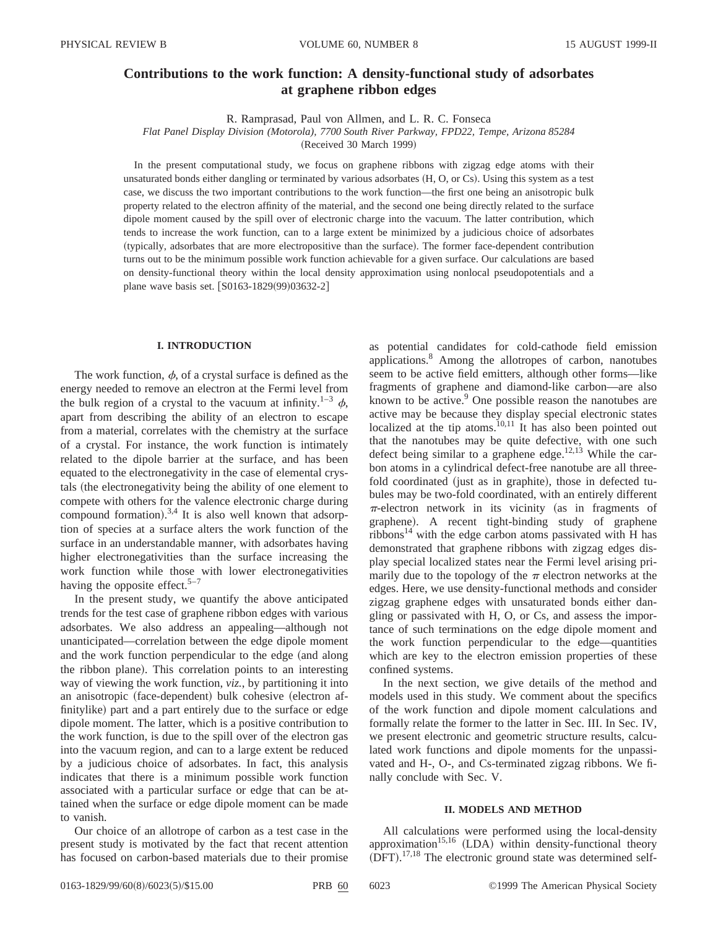# **Contributions to the work function: A density-functional study of adsorbates at graphene ribbon edges**

R. Ramprasad, Paul von Allmen, and L. R. C. Fonseca

*Flat Panel Display Division (Motorola), 7700 South River Parkway, FPD22, Tempe, Arizona 85284*

(Received 30 March 1999)

In the present computational study, we focus on graphene ribbons with zigzag edge atoms with their unsaturated bonds either dangling or terminated by various adsorbates  $(H, O, or Cs)$ . Using this system as a test case, we discuss the two important contributions to the work function—the first one being an anisotropic bulk property related to the electron affinity of the material, and the second one being directly related to the surface dipole moment caused by the spill over of electronic charge into the vacuum. The latter contribution, which tends to increase the work function, can to a large extent be minimized by a judicious choice of adsorbates ~typically, adsorbates that are more electropositive than the surface!. The former face-dependent contribution turns out to be the minimum possible work function achievable for a given surface. Our calculations are based on density-functional theory within the local density approximation using nonlocal pseudopotentials and a plane wave basis set. [S0163-1829(99)03632-2]

# **I. INTRODUCTION**

The work function,  $\phi$ , of a crystal surface is defined as the energy needed to remove an electron at the Fermi level from the bulk region of a crystal to the vacuum at infinity.<sup>1–3</sup>  $\phi$ , apart from describing the ability of an electron to escape from a material, correlates with the chemistry at the surface of a crystal. For instance, the work function is intimately related to the dipole barrier at the surface, and has been equated to the electronegativity in the case of elemental crystals (the electronegativity being the ability of one element to compete with others for the valence electronic charge during compound formation). $3,4$  It is also well known that adsorption of species at a surface alters the work function of the surface in an understandable manner, with adsorbates having higher electronegativities than the surface increasing the work function while those with lower electronegativities having the opposite effect.<sup>5–7</sup>

In the present study, we quantify the above anticipated trends for the test case of graphene ribbon edges with various adsorbates. We also address an appealing—although not unanticipated—correlation between the edge dipole moment and the work function perpendicular to the edge (and along the ribbon plane). This correlation points to an interesting way of viewing the work function, *viz.*, by partitioning it into an anisotropic (face-dependent) bulk cohesive (electron affinitylike) part and a part entirely due to the surface or edge dipole moment. The latter, which is a positive contribution to the work function, is due to the spill over of the electron gas into the vacuum region, and can to a large extent be reduced by a judicious choice of adsorbates. In fact, this analysis indicates that there is a minimum possible work function associated with a particular surface or edge that can be attained when the surface or edge dipole moment can be made to vanish.

Our choice of an allotrope of carbon as a test case in the present study is motivated by the fact that recent attention has focused on carbon-based materials due to their promise

as potential candidates for cold-cathode field emission applications.8 Among the allotropes of carbon, nanotubes seem to be active field emitters, although other forms—like fragments of graphene and diamond-like carbon—are also known to be active. $9$  One possible reason the nanotubes are active may be because they display special electronic states localized at the tip atoms. $10,11$  It has also been pointed out that the nanotubes may be quite defective, with one such defect being similar to a graphene edge.<sup>12,13</sup> While the carbon atoms in a cylindrical defect-free nanotube are all threefold coordinated (just as in graphite), those in defected tubules may be two-fold coordinated, with an entirely different  $\pi$ -electron network in its vicinity (as in fragments of graphene). A recent tight-binding study of graphene ribbons<sup>14</sup> with the edge carbon atoms passivated with H has demonstrated that graphene ribbons with zigzag edges display special localized states near the Fermi level arising primarily due to the topology of the  $\pi$  electron networks at the edges. Here, we use density-functional methods and consider zigzag graphene edges with unsaturated bonds either dangling or passivated with H, O, or Cs, and assess the importance of such terminations on the edge dipole moment and the work function perpendicular to the edge—quantities which are key to the electron emission properties of these confined systems.

In the next section, we give details of the method and models used in this study. We comment about the specifics of the work function and dipole moment calculations and formally relate the former to the latter in Sec. III. In Sec. IV, we present electronic and geometric structure results, calculated work functions and dipole moments for the unpassivated and H-, O-, and Cs-terminated zigzag ribbons. We finally conclude with Sec. V.

#### **II. MODELS AND METHOD**

All calculations were performed using the local-density approximation<sup>15,16</sup> (LDA) within density-functional theory  $(DFT).$ <sup>17,18</sup> The electronic ground state was determined self-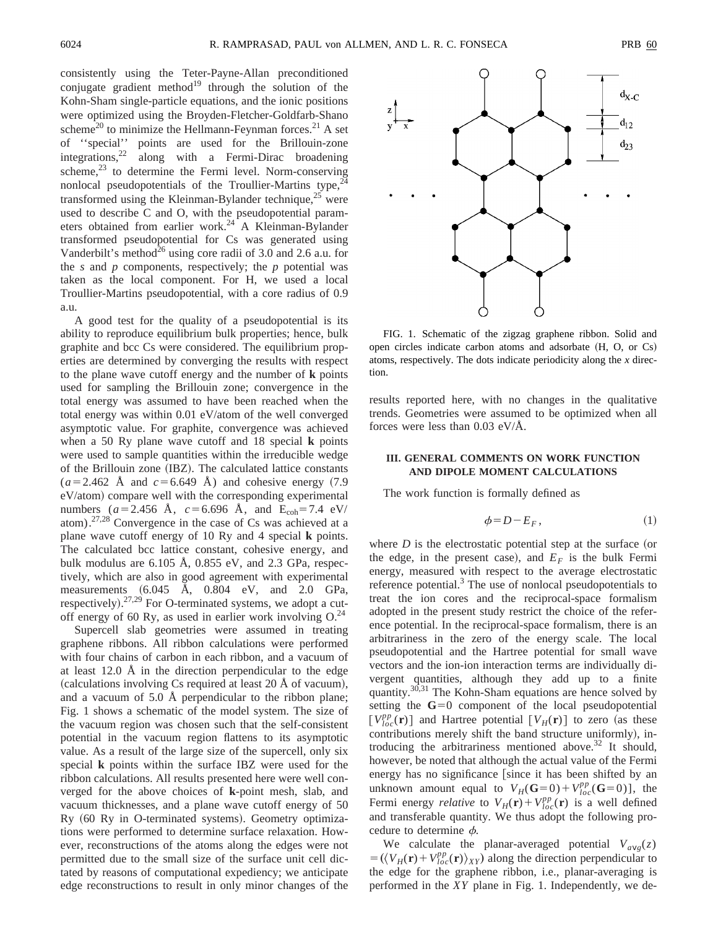consistently using the Teter-Payne-Allan preconditioned conjugate gradient method $19$  through the solution of the Kohn-Sham single-particle equations, and the ionic positions were optimized using the Broyden-Fletcher-Goldfarb-Shano scheme<sup>20</sup> to minimize the Hellmann-Feynman forces.<sup>21</sup> A set of ''special'' points are used for the Brillouin-zone integrations,  $2^2$  along with a Fermi-Dirac broadening scheme, $23$  to determine the Fermi level. Norm-conserving nonlocal pseudopotentials of the Troullier-Martins type,  $24$ transformed using the Kleinman-Bylander technique, $^{25}$  were used to describe C and O, with the pseudopotential parameters obtained from earlier work.<sup>24</sup> A Kleinman-Bylander transformed pseudopotential for Cs was generated using Vanderbilt's method<sup> $26$ </sup> using core radii of 3.0 and 2.6 a.u. for the  $s$  and  $p$  components, respectively; the  $p$  potential was taken as the local component. For H, we used a local Troullier-Martins pseudopotential, with a core radius of 0.9 a.u.

A good test for the quality of a pseudopotential is its ability to reproduce equilibrium bulk properties; hence, bulk graphite and bcc Cs were considered. The equilibrium properties are determined by converging the results with respect to the plane wave cutoff energy and the number of **k** points used for sampling the Brillouin zone; convergence in the total energy was assumed to have been reached when the total energy was within 0.01 eV/atom of the well converged asymptotic value. For graphite, convergence was achieved when a 50 Ry plane wave cutoff and 18 special **k** points were used to sample quantities within the irreducible wedge of the Brillouin zone (IBZ). The calculated lattice constants  $(a=2.462 \text{ Å} \text{ and } c=6.649 \text{ Å})$  and cohesive energy  $(7.9$ eV/atom) compare well with the corresponding experimental numbers  $(a=2.456 \text{ Å}, c=6.696 \text{ Å}, \text{ and } E_{coh}=7.4 \text{ eV}/$ atom).27,28 Convergence in the case of Cs was achieved at a plane wave cutoff energy of 10 Ry and 4 special **k** points. The calculated bcc lattice constant, cohesive energy, and bulk modulus are 6.105 Å, 0.855 eV, and 2.3 GPa, respectively, which are also in good agreement with experimental measurements  $(6.045 \text{ Å}, 0.804 \text{ eV}, \text{ and } 2.0 \text{ GPa},$ respectively).<sup>27,29</sup> For O-terminated systems, we adopt a cutoff energy of 60 Ry, as used in earlier work involving  $O^{24}$ .

Supercell slab geometries were assumed in treating graphene ribbons. All ribbon calculations were performed with four chains of carbon in each ribbon, and a vacuum of at least 12.0 Å in the direction perpendicular to the edge  $(calculations involving Cs required at least 20 Å of vacuum),$ and a vacuum of 5.0 Å perpendicular to the ribbon plane; Fig. 1 shows a schematic of the model system. The size of the vacuum region was chosen such that the self-consistent potential in the vacuum region flattens to its asymptotic value. As a result of the large size of the supercell, only six special **k** points within the surface IBZ were used for the ribbon calculations. All results presented here were well converged for the above choices of **k**-point mesh, slab, and vacuum thicknesses, and a plane wave cutoff energy of 50 Ry  $(60 \text{ Ry in O-terminated systems})$ . Geometry optimizations were performed to determine surface relaxation. However, reconstructions of the atoms along the edges were not permitted due to the small size of the surface unit cell dictated by reasons of computational expediency; we anticipate edge reconstructions to result in only minor changes of the



FIG. 1. Schematic of the zigzag graphene ribbon. Solid and open circles indicate carbon atoms and adsorbate  $(H, O, or Cs)$ atoms, respectively. The dots indicate periodicity along the *x* direction.

results reported here, with no changes in the qualitative trends. Geometries were assumed to be optimized when all forces were less than 0.03 eV/Å.

# **III. GENERAL COMMENTS ON WORK FUNCTION AND DIPOLE MOMENT CALCULATIONS**

The work function is formally defined as

$$
\phi = D - E_F, \tag{1}
$$

where  $D$  is the electrostatic potential step at the surface (or the edge, in the present case), and  $E_F$  is the bulk Fermi energy, measured with respect to the average electrostatic reference potential.<sup>3</sup> The use of nonlocal pseudopotentials to treat the ion cores and the reciprocal-space formalism adopted in the present study restrict the choice of the reference potential. In the reciprocal-space formalism, there is an arbitrariness in the zero of the energy scale. The local pseudopotential and the Hartree potential for small wave vectors and the ion-ion interaction terms are individually divergent quantities, although they add up to a finite quantity.30,31 The Kohn-Sham equations are hence solved by setting the  $G=0$  component of the local pseudopotential  $[V_{loc}^{pp}(\mathbf{r})]$  and Hartree potential  $[V_H(\mathbf{r})]$  to zero (as these contributions merely shift the band structure uniformly), introducing the arbitrariness mentioned above.<sup>32</sup> It should, however, be noted that although the actual value of the Fermi energy has no significance [since it has been shifted by an unknown amount equal to  $V_H(\mathbf{G}=0) + V_{loc}^{pp}(\mathbf{G}=0)$ , the Fermi energy *relative* to  $V_H(\mathbf{r}) + V_{loc}^{pp}(\mathbf{r})$  is a well defined and transferable quantity. We thus adopt the following procedure to determine  $\phi$ .

We calculate the planar-averaged potential  $V_{avg}(z)$  $= (\langle V_H(\mathbf{r}) + V_{loc}^{pp}(\mathbf{r}) \rangle_{XY})$  along the direction perpendicular to the edge for the graphene ribbon, i.e., planar-averaging is performed in the *XY* plane in Fig. 1. Independently, we de-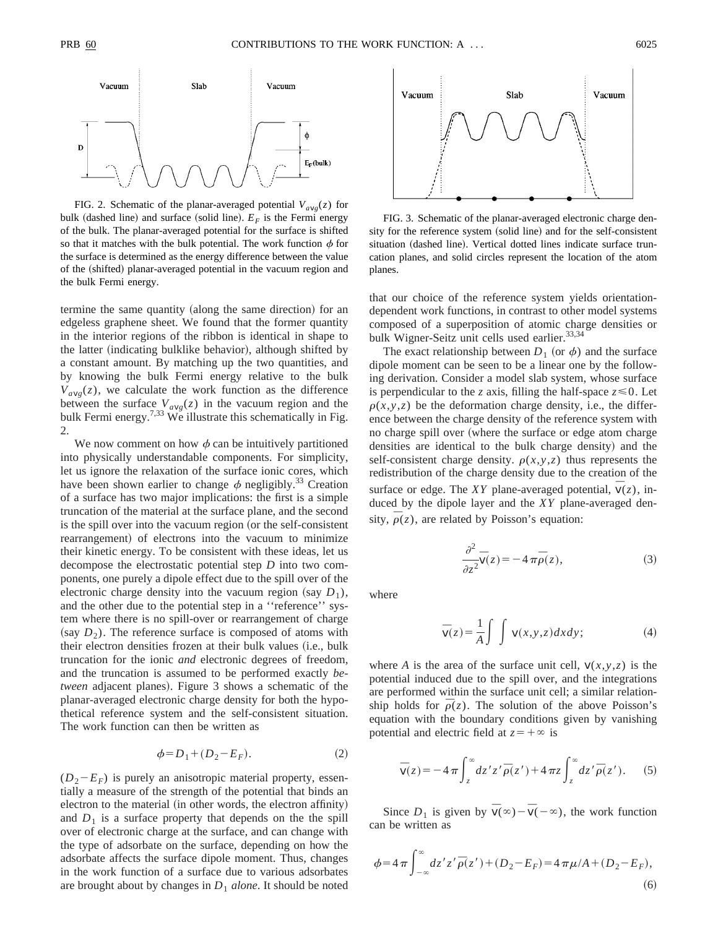

FIG. 2. Schematic of the planar-averaged potential  $V_{avg}(z)$  for bulk (dashed line) and surface (solid line).  $E_F$  is the Fermi energy of the bulk. The planar-averaged potential for the surface is shifted so that it matches with the bulk potential. The work function  $\phi$  for the surface is determined as the energy difference between the value of the (shifted) planar-averaged potential in the vacuum region and the bulk Fermi energy.

termine the same quantity (along the same direction) for an edgeless graphene sheet. We found that the former quantity in the interior regions of the ribbon is identical in shape to the latter (indicating bulklike behavior), although shifted by a constant amount. By matching up the two quantities, and by knowing the bulk Fermi energy relative to the bulk  $V_{\alpha\nu\rho}(z)$ , we calculate the work function as the difference between the surface  $V_{avg}(z)$  in the vacuum region and the bulk Fermi energy.<sup>7,33</sup> We illustrate this schematically in Fig. 2.

We now comment on how  $\phi$  can be intuitively partitioned into physically understandable components. For simplicity, let us ignore the relaxation of the surface ionic cores, which have been shown earlier to change  $\phi$  negligibly.<sup>33</sup> Creation of a surface has two major implications: the first is a simple truncation of the material at the surface plane, and the second is the spill over into the vacuum region (or the self-consistent rearrangement) of electrons into the vacuum to minimize their kinetic energy. To be consistent with these ideas, let us decompose the electrostatic potential step *D* into two components, one purely a dipole effect due to the spill over of the electronic charge density into the vacuum region (say  $D_1$ ), and the other due to the potential step in a ''reference'' system where there is no spill-over or rearrangement of charge (say  $D_2$ ). The reference surface is composed of atoms with their electron densities frozen at their bulk values (i.e., bulk truncation for the ionic *and* electronic degrees of freedom, and the truncation is assumed to be performed exactly *between* adjacent planes). Figure 3 shows a schematic of the planar-averaged electronic charge density for both the hypothetical reference system and the self-consistent situation. The work function can then be written as

$$
\phi = D_1 + (D_2 - E_F). \tag{2}
$$

 $(D_2-E_F)$  is purely an anisotropic material property, essentially a measure of the strength of the potential that binds an electron to the material (in other words, the electron affinity) and  $D_1$  is a surface property that depends on the the spill over of electronic charge at the surface, and can change with the type of adsorbate on the surface, depending on how the adsorbate affects the surface dipole moment. Thus, changes in the work function of a surface due to various adsorbates are brought about by changes in  $D_1$  *alone*. It should be noted



FIG. 3. Schematic of the planar-averaged electronic charge density for the reference system (solid line) and for the self-consistent situation (dashed line). Vertical dotted lines indicate surface truncation planes, and solid circles represent the location of the atom planes.

that our choice of the reference system yields orientationdependent work functions, in contrast to other model systems composed of a superposition of atomic charge densities or bulk Wigner-Seitz unit cells used earlier.<sup>33,34</sup>

The exact relationship between  $D_1$  (or  $\phi$ ) and the surface dipole moment can be seen to be a linear one by the following derivation. Consider a model slab system, whose surface is perpendicular to the *z* axis, filling the half-space  $z \le 0$ . Let  $\rho(x, y, z)$  be the deformation charge density, i.e., the difference between the charge density of the reference system with no charge spill over (where the surface or edge atom charge densities are identical to the bulk charge density) and the self-consistent charge density.  $\rho(x, y, z)$  thus represents the redistribution of the charge density due to the creation of the surface or edge. The *XY* plane-averaged potential,  $\bar{v}(z)$ , induced by the dipole layer and the *XY* plane-averaged density,  $\overline{\rho}(z)$ , are related by Poisson's equation:

$$
\frac{\partial^2}{\partial z^2}\overline{v}(z) = -4\pi\overline{\rho}(z),\tag{3}
$$

where

$$
\overline{v}(z) = \frac{1}{A} \int \int v(x, y, z) dx dy;
$$
 (4)

where *A* is the area of the surface unit cell,  $v(x, y, z)$  is the potential induced due to the spill over, and the integrations are performed within the surface unit cell; a similar relationship holds for  $\bar{\rho}(z)$ . The solution of the above Poisson's equation with the boundary conditions given by vanishing potential and electric field at  $z = +\infty$  is

$$
\overline{v}(z) = -4\pi \int_{z}^{\infty} dz' z' \overline{\rho}(z') + 4\pi z \int_{z}^{\infty} dz' \overline{\rho}(z').
$$
 (5)

Since  $D_1$  is given by  $\overline{v}(\infty) - \overline{v}(-\infty)$ , the work function can be written as

$$
\phi = 4\pi \int_{-\infty}^{\infty} dz' z' \overline{\rho}(z') + (D_2 - E_F) = 4\pi \mu / A + (D_2 - E_F),
$$
\n(6)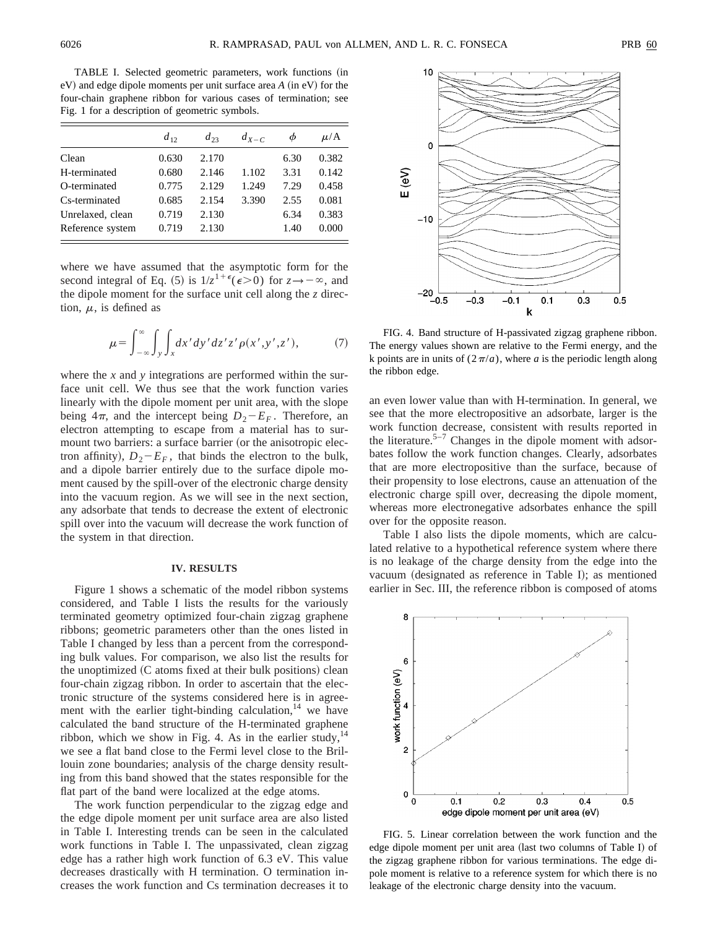TABLE I. Selected geometric parameters, work functions (in  $eV$ ) and edge dipole moments per unit surface area  $A$  (in  $eV$ ) for the four-chain graphene ribbon for various cases of termination; see Fig. 1 for a description of geometric symbols.

|                  | $d_{12}$ | $d_{23}$ | $d_{X-C}$ |      | $\mu/A$ |
|------------------|----------|----------|-----------|------|---------|
| Clean            | 0.630    | 2.170    |           | 6.30 | 0.382   |
| H-terminated     | 0.680    | 2.146    | 1.102     | 3.31 | 0.142   |
| O-terminated     | 0.775    | 2.129    | 1.249     | 7.29 | 0.458   |
| Cs-terminated    | 0.685    | 2.154    | 3.390     | 2.55 | 0.081   |
| Unrelaxed, clean | 0.719    | 2.130    |           | 6.34 | 0.383   |
| Reference system | 0.719    | 2.130    |           | 1.40 | 0.000   |

where we have assumed that the asymptotic form for the second integral of Eq. (5) is  $1/z^{1+\epsilon} (\epsilon > 0)$  for  $z \rightarrow -\infty$ , and the dipole moment for the surface unit cell along the *z* direction,  $\mu$ , is defined as

$$
\mu = \int_{-\infty}^{\infty} \int_{y} \int_{x} dx' dy' dz' z' \rho(x', y', z'), \tag{7}
$$

where the *x* and *y* integrations are performed within the surface unit cell. We thus see that the work function varies linearly with the dipole moment per unit area, with the slope being  $4\pi$ , and the intercept being  $D_2-E_F$ . Therefore, an electron attempting to escape from a material has to surmount two barriers: a surface barrier (or the anisotropic electron affinity),  $D_2 - E_F$ , that binds the electron to the bulk, and a dipole barrier entirely due to the surface dipole moment caused by the spill-over of the electronic charge density into the vacuum region. As we will see in the next section, any adsorbate that tends to decrease the extent of electronic spill over into the vacuum will decrease the work function of the system in that direction.

#### **IV. RESULTS**

Figure 1 shows a schematic of the model ribbon systems considered, and Table I lists the results for the variously terminated geometry optimized four-chain zigzag graphene ribbons; geometric parameters other than the ones listed in Table I changed by less than a percent from the corresponding bulk values. For comparison, we also list the results for the unoptimized  $(C$  atoms fixed at their bulk positions) clean four-chain zigzag ribbon. In order to ascertain that the electronic structure of the systems considered here is in agreement with the earlier tight-binding calculation, $14$  we have calculated the band structure of the H-terminated graphene ribbon, which we show in Fig. 4. As in the earlier study,  $14$ we see a flat band close to the Fermi level close to the Brillouin zone boundaries; analysis of the charge density resulting from this band showed that the states responsible for the flat part of the band were localized at the edge atoms.

The work function perpendicular to the zigzag edge and the edge dipole moment per unit surface area are also listed in Table I. Interesting trends can be seen in the calculated work functions in Table I. The unpassivated, clean zigzag edge has a rather high work function of 6.3 eV. This value decreases drastically with H termination. O termination increases the work function and Cs termination decreases it to





FIG. 4. Band structure of H-passivated zigzag graphene ribbon. The energy values shown are relative to the Fermi energy, and the k points are in units of  $(2\pi/a)$ , where *a* is the periodic length along the ribbon edge.

an even lower value than with H-termination. In general, we see that the more electropositive an adsorbate, larger is the work function decrease, consistent with results reported in the literature.<sup>5–7</sup> Changes in the dipole moment with adsorbates follow the work function changes. Clearly, adsorbates that are more electropositive than the surface, because of their propensity to lose electrons, cause an attenuation of the electronic charge spill over, decreasing the dipole moment, whereas more electronegative adsorbates enhance the spill over for the opposite reason.

Table I also lists the dipole moments, which are calculated relative to a hypothetical reference system where there is no leakage of the charge density from the edge into the vacuum (designated as reference in Table I); as mentioned earlier in Sec. III, the reference ribbon is composed of atoms



FIG. 5. Linear correlation between the work function and the edge dipole moment per unit area (last two columns of Table I) of the zigzag graphene ribbon for various terminations. The edge dipole moment is relative to a reference system for which there is no leakage of the electronic charge density into the vacuum.